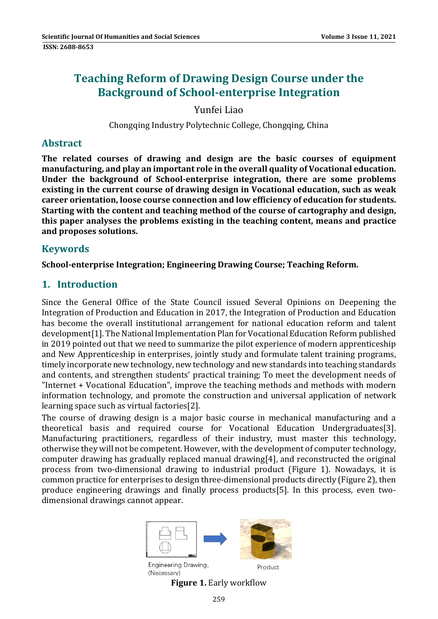# **Teaching Reform of Drawing Design Course under the Background of School‐enterprise Integration**

Yunfei Liao 

Chongqing Industry Polytechnic College, Chongqing, China

#### **Abstract**

**The related courses of drawing and design are the basic courses of equipment manufacturing, and play an important role in the overall quality of Vocational education. Under the background of School‐enterprise integration, there are some problems existing in the current course of drawing design in Vocational education, such as weak career orientation, loose course connection and low efficiency of education for students. Starting with the content and teaching method of the course of cartography and design, this paper analyses the problems existing in the teaching content, means and practice and proposes solutions.**

### **Keywords**

**School‐enterprise Integration; Engineering Drawing Course; Teaching Reform.**

## **1. Introduction**

Since the General Office of the State Council issued Several Opinions on Deepening the Integration of Production and Education in 2017, the Integration of Production and Education has become the overall institutional arrangement for national education reform and talent development<sup>[1]</sup>. The National Implementation Plan for Vocational Education Reform published in 2019 pointed out that we need to summarize the pilot experience of modern apprenticeship and New Apprenticeship in enterprises, jointly study and formulate talent training programs, timely incorporate new technology, new technology and new standards into teaching standards and contents, and strengthen students' practical training; To meet the development needs of "Internet + Vocational Education", improve the teaching methods and methods with modern information technology, and promote the construction and universal application of network learning space such as virtual factories[2].

The course of drawing design is a major basic course in mechanical manufacturing and a theoretical basis and required course for Vocational Education Undergraduates[3]. Manufacturing practitioners, regardless of their industry, must master this technology, otherwise they will not be competent. However, with the development of computer technology, computer drawing has gradually replaced manual drawing[4], and reconstructed the original process from two-dimensional drawing to industrial product (Figure 1). Nowadays, it is common practice for enterprises to design three-dimensional products directly (Figure 2), then produce engineering drawings and finally process products[5]. In this process, even twodimensional drawings cannot appear.



Engineering Drawing, (Necessary)

**Figure 1.** Early workflow

Product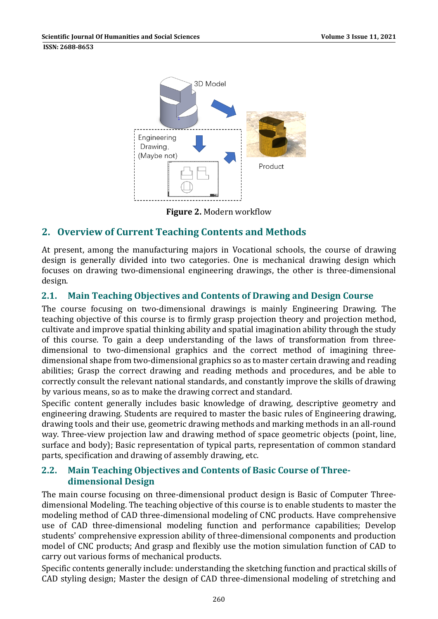

**Figure 2.** Modern workflow 

# **2. Overview of Current Teaching Contents and Methods**

At present, among the manufacturing majors in Vocational schools, the course of drawing design is generally divided into two categories. One is mechanical drawing design which focuses on drawing two-dimensional engineering drawings, the other is three-dimensional design. 

## **2.1. Main Teaching Objectives and Contents of Drawing and Design Course**

The course focusing on two-dimensional drawings is mainly Engineering Drawing. The teaching objective of this course is to firmly grasp projection theory and projection method, cultivate and improve spatial thinking ability and spatial imagination ability through the study of this course. To gain a deep understanding of the laws of transformation from threedimensional to two-dimensional graphics and the correct method of imagining threedimensional shape from two-dimensional graphics so as to master certain drawing and reading abilities; Grasp the correct drawing and reading methods and procedures, and be able to correctly consult the relevant national standards, and constantly improve the skills of drawing by various means, so as to make the drawing correct and standard.

Specific content generally includes basic knowledge of drawing, descriptive geometry and engineering drawing. Students are required to master the basic rules of Engineering drawing, drawing tools and their use, geometric drawing methods and marking methods in an all-round way. Three-view projection law and drawing method of space geometric objects (point, line, surface and body); Basic representation of typical parts, representation of common standard parts, specification and drawing of assembly drawing, etc.

### **2.2. Main Teaching Objectives and Contents of Basic Course of Three‐ dimensional Design**

The main course focusing on three-dimensional product design is Basic of Computer Threedimensional Modeling. The teaching objective of this course is to enable students to master the modeling method of CAD three-dimensional modeling of CNC products. Have comprehensive use of CAD three-dimensional modeling function and performance capabilities; Develop students' comprehensive expression ability of three-dimensional components and production model of CNC products; And grasp and flexibly use the motion simulation function of CAD to carry out various forms of mechanical products.

Specific contents generally include: understanding the sketching function and practical skills of CAD styling design; Master the design of CAD three-dimensional modeling of stretching and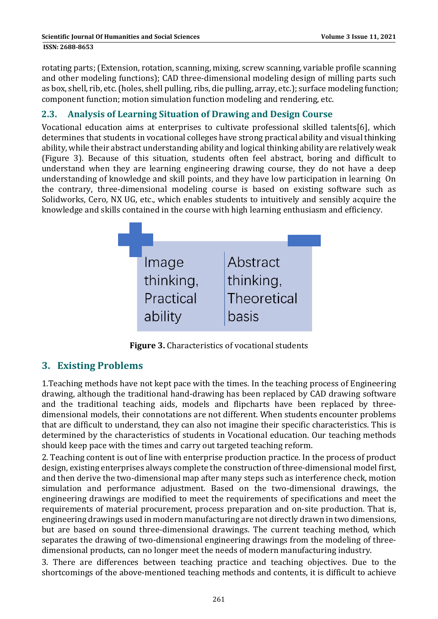rotating parts; (Extension, rotation, scanning, mixing, screw scanning, variable profile scanning and other modeling functions); CAD three-dimensional modeling design of milling parts such as box, shell, rib, etc. (holes, shell pulling, ribs, die pulling, array, etc.); surface modeling function; component function; motion simulation function modeling and rendering, etc.

## **2.3. Analysis of Learning Situation of Drawing and Design Course**

Vocational education aims at enterprises to cultivate professional skilled talents[6], which determines that students in vocational colleges have strong practical ability and visual thinking ability, while their abstract understanding ability and logical thinking ability are relatively weak (Figure 3). Because of this situation, students often feel abstract, boring and difficult to understand when they are learning engineering drawing course, they do not have a deep understanding of knowledge and skill points, and they have low participation in learning On the contrary, three-dimensional modeling course is based on existing software such as Solidworks, Cero, NX UG, etc., which enables students to intuitively and sensibly acquire the knowledge and skills contained in the course with high learning enthusiasm and efficiency.



**Figure 3.** Characteristics of vocational students

# **3. Existing Problems**

1. Teaching methods have not kept pace with the times. In the teaching process of Engineering drawing, although the traditional hand-drawing has been replaced by CAD drawing software and the traditional teaching aids, models and flipcharts have been replaced by threedimensional models, their connotations are not different. When students encounter problems that are difficult to understand, they can also not imagine their specific characteristics. This is determined by the characteristics of students in Vocational education. Our teaching methods should keep pace with the times and carry out targeted teaching reform.

2. Teaching content is out of line with enterprise production practice. In the process of product design, existing enterprises always complete the construction of three-dimensional model first, and then derive the two-dimensional map after many steps such as interference check, motion simulation and performance adjustment. Based on the two-dimensional drawings, the engineering drawings are modified to meet the requirements of specifications and meet the requirements of material procurement, process preparation and on-site production. That is, engineering drawings used in modern manufacturing are not directly drawn in two dimensions, but are based on sound three-dimensional drawings. The current teaching method, which separates the drawing of two-dimensional engineering drawings from the modeling of threedimensional products, can no longer meet the needs of modern manufacturing industry.

3. There are differences between teaching practice and teaching objectives. Due to the shortcomings of the above-mentioned teaching methods and contents, it is difficult to achieve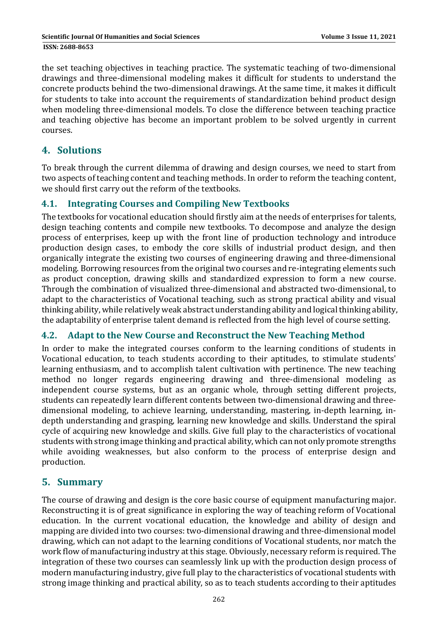the set teaching objectives in teaching practice. The systematic teaching of two-dimensional drawings and three-dimensional modeling makes it difficult for students to understand the concrete products behind the two-dimensional drawings. At the same time, it makes it difficult for students to take into account the requirements of standardization behind product design when modeling three-dimensional models. To close the difference between teaching practice and teaching objective has become an important problem to be solved urgently in current courses. 

# **4. Solutions**

To break through the current dilemma of drawing and design courses, we need to start from two aspects of teaching content and teaching methods. In order to reform the teaching content, we should first carry out the reform of the textbooks.

### **4.1. Integrating Courses and Compiling New Textbooks**

The textbooks for vocational education should firstly aim at the needs of enterprises for talents, design teaching contents and compile new textbooks. To decompose and analyze the design process of enterprises, keep up with the front line of production technology and introduce production design cases, to embody the core skills of industrial product design, and then organically integrate the existing two courses of engineering drawing and three-dimensional modeling. Borrowing resources from the original two courses and re-integrating elements such as product conception, drawing skills and standardized expression to form a new course. Through the combination of visualized three-dimensional and abstracted two-dimensional, to adapt to the characteristics of Vocational teaching, such as strong practical ability and visual thinking ability, while relatively weak abstract understanding ability and logical thinking ability, the adaptability of enterprise talent demand is reflected from the high level of course setting.

#### **4.2. Adapt to the New Course and Reconstruct the New Teaching Method**

In order to make the integrated courses conform to the learning conditions of students in Vocational education, to teach students according to their aptitudes, to stimulate students' learning enthusiasm, and to accomplish talent cultivation with pertinence. The new teaching method no longer regards engineering drawing and three-dimensional modeling as independent course systems, but as an organic whole, through setting different projects, students can repeatedly learn different contents between two-dimensional drawing and threedimensional modeling, to achieve learning, understanding, mastering, in-depth learning, indepth understanding and grasping, learning new knowledge and skills. Understand the spiral cycle of acquiring new knowledge and skills. Give full play to the characteristics of vocational students with strong image thinking and practical ability, which can not only promote strengths while avoiding weaknesses, but also conform to the process of enterprise design and production. 

## **5. Summary**

The course of drawing and design is the core basic course of equipment manufacturing major. Reconstructing it is of great significance in exploring the way of teaching reform of Vocational education. In the current vocational education, the knowledge and ability of design and mapping are divided into two courses: two-dimensional drawing and three-dimensional model drawing, which can not adapt to the learning conditions of Vocational students, nor match the work flow of manufacturing industry at this stage. Obviously, necessary reform is required. The integration of these two courses can seamlessly link up with the production design process of modern manufacturing industry, give full play to the characteristics of vocational students with strong image thinking and practical ability, so as to teach students according to their aptitudes